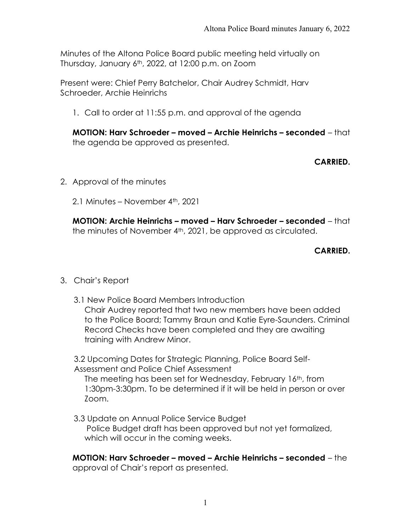Minutes of the Altona Police Board public meeting held virtually on Thursday, January  $6<sup>th</sup>$ , 2022, at 12:00 p.m. on Zoom

Present were: Chief Perry Batchelor, Chair Audrey Schmidt, Harv Schroeder, Archie Heinrichs

1. Call to order at 11:55 p.m. and approval of the agenda

MOTION: Harv Schroeder – moved – Archie Heinrichs – seconded – that the agenda be approved as presented.

# CARRIED.

- 2. Approval of the minutes
	- 2.1 Minutes November 4th, 2021

MOTION: Archie Heinrichs – moved – Harv Schroeder – seconded – that the minutes of November 4th, 2021, be approved as circulated.

# CARRIED.

# 3. Chair's Report

 3.1 New Police Board Members Introduction Chair Audrey reported that two new members have been added to the Police Board; Tammy Braun and Katie Eyre-Saunders. Criminal Record Checks have been completed and they are awaiting training with Andrew Minor.

3.2 Upcoming Dates for Strategic Planning, Police Board Self-Assessment and Police Chief Assessment

The meeting has been set for Wednesday, February 16th, from 1:30pm-3:30pm. To be determined if it will be held in person or over Zoom.

 3.3 Update on Annual Police Service Budget Police Budget draft has been approved but not yet formalized, which will occur in the coming weeks.

MOTION: Harv Schroeder – moved – Archie Heinrichs – seconded – the approval of Chair's report as presented.